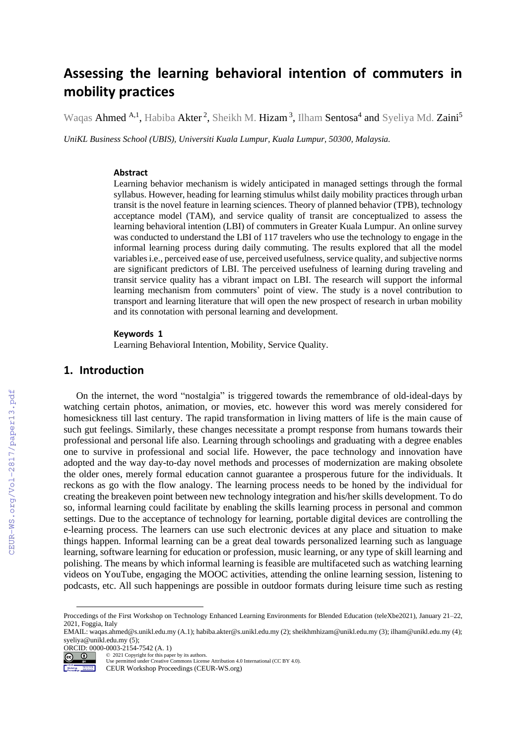# **Assessing the learning behavioral intention of commuters in mobility practices**

Waqas Ahmed <sup>A,1</sup>, Habiba Akter<sup>2</sup>, Sheikh M. Hizam<sup>3</sup>, Ilham Sentosa<sup>4</sup> and Syeliya Md. Zaini<sup>5</sup>

*UniKL Business School (UBIS), Universiti Kuala Lumpur, Kuala Lumpur, 50300, Malaysia.*

#### **Abstract**

Learning behavior mechanism is widely anticipated in managed settings through the formal syllabus. However, heading for learning stimulus whilst daily mobility practices through urban transit is the novel feature in learning sciences. Theory of planned behavior (TPB), technology acceptance model (TAM), and service quality of transit are conceptualized to assess the learning behavioral intention (LBI) of commuters in Greater Kuala Lumpur. An online survey was conducted to understand the LBI of 117 travelers who use the technology to engage in the informal learning process during daily commuting. The results explored that all the model variables i.e., perceived ease of use, perceived usefulness, service quality, and subjective norms are significant predictors of LBI. The perceived usefulness of learning during traveling and transit service quality has a vibrant impact on LBI. The research will support the informal learning mechanism from commuters' point of view. The study is a novel contribution to transport and learning literature that will open the new prospect of research in urban mobility and its connotation with personal learning and development.

#### **Keywords 1**

Learning Behavioral Intention, Mobility, Service Quality.

#### **1. Introduction**

On the internet, the word "nostalgia" is triggered towards the remembrance of old-ideal-days by watching certain photos, animation, or movies, etc. however this word was merely considered for homesickness till last century. The rapid transformation in living matters of life is the main cause of such gut feelings. Similarly, these changes necessitate a prompt response from humans towards their professional and personal life also. Learning through schoolings and graduating with a degree enables one to survive in professional and social life. However, the pace technology and innovation have adopted and the way day-to-day novel methods and processes of modernization are making obsolete the older ones, merely formal education cannot guarantee a prosperous future for the individuals. It reckons as go with the flow analogy. The learning process needs to be honed by the individual for creating the breakeven point between new technology integration and his/her skills development. To do so, informal learning could facilitate by enabling the skills learning process in personal and common settings. Due to the acceptance of technology for learning, portable digital devices are controlling the e-learning process. The learners can use such electronic devices at any place and situation to make things happen. Informal learning can be a great deal towards personalized learning such as language learning, software learning for education or profession, music learning, or any type of skill learning and polishing. The means by which informal learning is feasible are multifaceted such as watching learning videos on YouTube, engaging the MOOC activities, attending the online learning session, listening to podcasts, etc. All such happenings are possible in outdoor formats during leisure time such as resting

ORCID: 0000-0003-2154-7542 (A. 1)<br>  $\bigcirc$  2021 Copyright for this paper

Гš

oftmannung.<br>In Internette

©️ 2021 Copyright for this paper by its authors.

Use permitted under Creative Commons License Attribution 4.0 International (CC BY 4.0).

CEUR Workshop Proceedings (CEUR-WS.org)

Proccedings of the First Workshop on Technology Enhanced Learning Environments for Blended Education (teleXbe2021), January 21–22, 2021, Foggia, Italy

EMAIL: waqas.ahmed@s.unikl.edu.my (A.1); habiba.akter@s.unikl.edu.my (2); sheikhmhizam@unikl.edu.my (3); ilham@unikl.edu.my (4); syeliya@unikl.edu.my (5);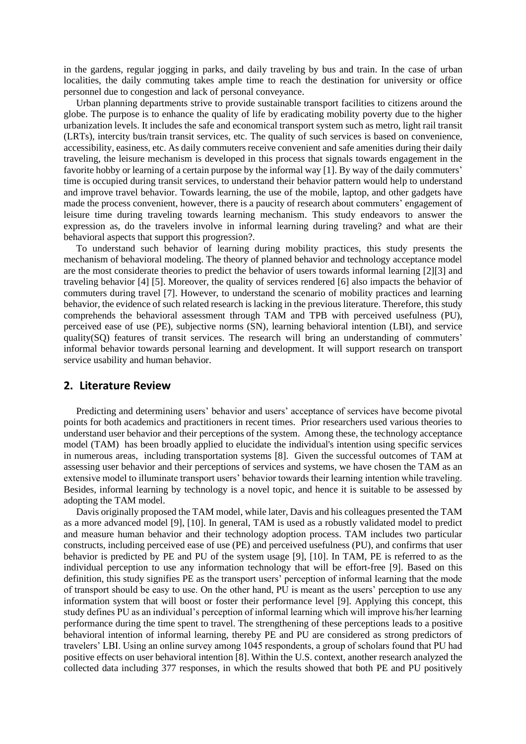in the gardens, regular jogging in parks, and daily traveling by bus and train. In the case of urban localities, the daily commuting takes ample time to reach the destination for university or office personnel due to congestion and lack of personal conveyance.

Urban planning departments strive to provide sustainable transport facilities to citizens around the globe. The purpose is to enhance the quality of life by eradicating mobility poverty due to the higher urbanization levels. It includes the safe and economical transport system such as metro, light rail transit (LRTs), intercity bus/train transit services, etc. The quality of such services is based on convenience, accessibility, easiness, etc. As daily commuters receive convenient and safe amenities during their daily traveling, the leisure mechanism is developed in this process that signals towards engagement in the favorite hobby or learning of a certain purpose by the informal way [1]. By way of the daily commuters' time is occupied during transit services, to understand their behavior pattern would help to understand and improve travel behavior. Towards learning, the use of the mobile, laptop, and other gadgets have made the process convenient, however, there is a paucity of research about commuters' engagement of leisure time during traveling towards learning mechanism. This study endeavors to answer the expression as, do the travelers involve in informal learning during traveling? and what are their behavioral aspects that support this progression?.

To understand such behavior of learning during mobility practices, this study presents the mechanism of behavioral modeling. The theory of planned behavior and technology acceptance model are the most considerate theories to predict the behavior of users towards informal learning [2][3] and traveling behavior [4] [5]. Moreover, the quality of services rendered [6] also impacts the behavior of commuters during travel [7]. However, to understand the scenario of mobility practices and learning behavior, the evidence of such related research is lacking in the previous literature. Therefore, this study comprehends the behavioral assessment through TAM and TPB with perceived usefulness (PU), perceived ease of use (PE), subjective norms (SN), learning behavioral intention (LBI), and service quality(SQ) features of transit services. The research will bring an understanding of commuters' informal behavior towards personal learning and development. It will support research on transport service usability and human behavior.

#### **2. Literature Review**

Predicting and determining users' behavior and users' acceptance of services have become pivotal points for both academics and practitioners in recent times. Prior researchers used various theories to understand user behavior and their perceptions of the system. Among these, the technology acceptance model (TAM) has been broadly applied to elucidate the individual's intention using specific services in numerous areas, including transportation systems [8]. Given the successful outcomes of TAM at assessing user behavior and their perceptions of services and systems, we have chosen the TAM as an extensive model to illuminate transport users' behavior towards their learning intention while traveling. Besides, informal learning by technology is a novel topic, and hence it is suitable to be assessed by adopting the TAM model.

Davis originally proposed the TAM model, while later, Davis and his colleagues presented the TAM as a more advanced model [9], [10]. In general, TAM is used as a robustly validated model to predict and measure human behavior and their technology adoption process. TAM includes two particular constructs, including perceived ease of use (PE) and perceived usefulness (PU), and confirms that user behavior is predicted by PE and PU of the system usage [9], [10]. In TAM, PE is referred to as the individual perception to use any information technology that will be effort-free [9]. Based on this definition, this study signifies PE as the transport users' perception of informal learning that the mode of transport should be easy to use. On the other hand, PU is meant as the users' perception to use any information system that will boost or foster their performance level [9]. Applying this concept, this study defines PU as an individual's perception of informal learning which will improve his/her learning performance during the time spent to travel. The strengthening of these perceptions leads to a positive behavioral intention of informal learning, thereby PE and PU are considered as strong predictors of travelers' LBI. Using an online survey among 1045 respondents, a group of scholars found that PU had positive effects on user behavioral intention [8]. Within the U.S. context, another research analyzed the collected data including 377 responses, in which the results showed that both PE and PU positively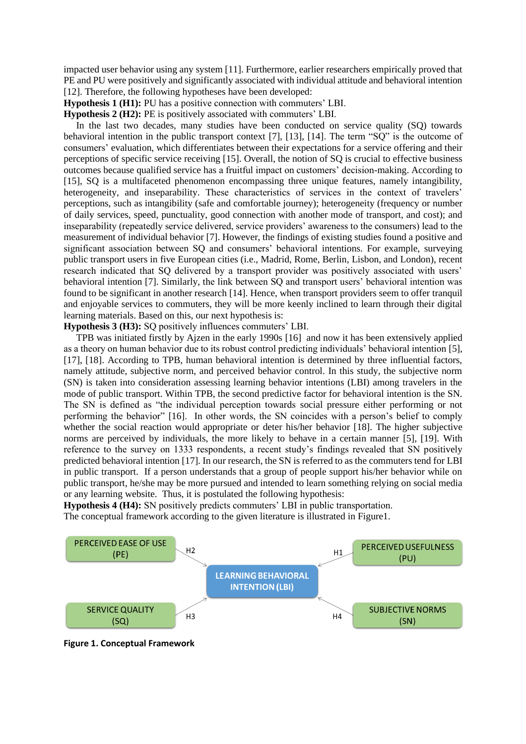impacted user behavior using any system [11]. Furthermore, earlier researchers empirically proved that PE and PU were positively and significantly associated with individual attitude and behavioral intention [12]. Therefore, the following hypotheses have been developed:

**Hypothesis 1 (H1):** PU has a positive connection with commuters' LBI.

**Hypothesis 2 (H2):** PE is positively associated with commuters' LBI.

In the last two decades, many studies have been conducted on service quality (SQ) towards behavioral intention in the public transport context [7], [13], [14]. The term "SQ" is the outcome of consumers' evaluation, which differentiates between their expectations for a service offering and their perceptions of specific service receiving [15]. Overall, the notion of SQ is crucial to effective business outcomes because qualified service has a fruitful impact on customers' decision-making. According to [15], SQ is a multifaceted phenomenon encompassing three unique features, namely intangibility, heterogeneity, and inseparability. These characteristics of services in the context of travelers' perceptions, such as intangibility (safe and comfortable journey); heterogeneity (frequency or number of daily services, speed, punctuality, good connection with another mode of transport, and cost); and inseparability (repeatedly service delivered, service providers' awareness to the consumers) lead to the measurement of individual behavior [7]. However, the findings of existing studies found a positive and significant association between SQ and consumers' behavioral intentions. For example, surveying public transport users in five European cities (i.e., Madrid, Rome, Berlin, Lisbon, and London), recent research indicated that SQ delivered by a transport provider was positively associated with users' behavioral intention [7]. Similarly, the link between SQ and transport users' behavioral intention was found to be significant in another research [14]. Hence, when transport providers seem to offer tranquil and enjoyable services to commuters, they will be more keenly inclined to learn through their digital learning materials. Based on this, our next hypothesis is:

**Hypothesis 3 (H3):** SQ positively influences commuters' LBI.

TPB was initiated firstly by Ajzen in the early 1990s [16] and now it has been extensively applied as a theory on human behavior due to its robust control predicting individuals' behavioral intention [5], [17], [18]. According to TPB, human behavioral intention is determined by three influential factors, namely attitude, subjective norm, and perceived behavior control. In this study, the subjective norm (SN) is taken into consideration assessing learning behavior intentions (LBI) among travelers in the mode of public transport. Within TPB, the second predictive factor for behavioral intention is the SN. The SN is defined as "the individual perception towards social pressure either performing or not performing the behavior" [16]. In other words, the SN coincides with a person's belief to comply whether the social reaction would appropriate or deter his/her behavior [18]. The higher subjective norms are perceived by individuals, the more likely to behave in a certain manner [5], [19]. With reference to the survey on 1333 respondents, a recent study's findings revealed that SN positively predicted behavioral intention [17]. In our research, the SN is referred to as the commuters tend for LBI in public transport. If a person understands that a group of people support his/her behavior while on public transport, he/she may be more pursued and intended to learn something relying on social media or any learning website. Thus, it is postulated the following hypothesis:

**Hypothesis 4 (H4):** SN positively predicts commuters' LBI in public transportation.

The conceptual framework according to the given literature is illustrated in Figure1.



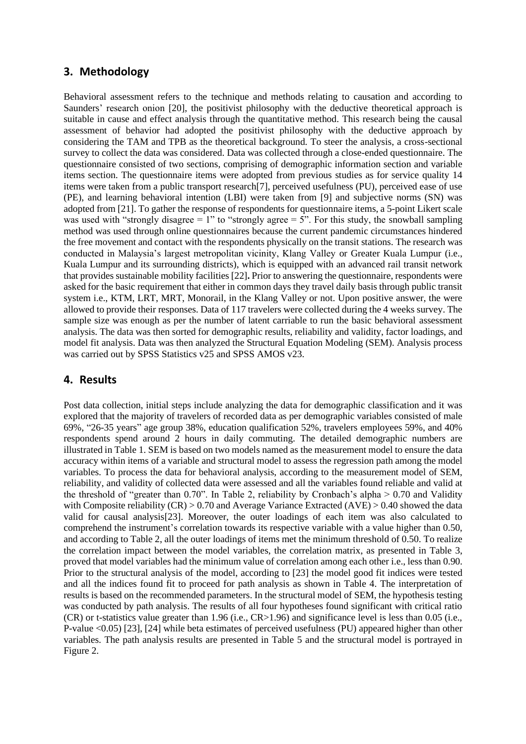# **3. Methodology**

Behavioral assessment refers to the technique and methods relating to causation and according to Saunders' research onion [20], the positivist philosophy with the deductive theoretical approach is suitable in cause and effect analysis through the quantitative method. This research being the causal assessment of behavior had adopted the positivist philosophy with the deductive approach by considering the TAM and TPB as the theoretical background. To steer the analysis, a cross-sectional survey to collect the data was considered. Data was collected through a close-ended questionnaire. The questionnaire consisted of two sections, comprising of demographic information section and variable items section. The questionnaire items were adopted from previous studies as for service quality 14 items were taken from a public transport research[7], perceived usefulness (PU), perceived ease of use (PE), and learning behavioral intention (LBI) were taken from [9] and subjective norms (SN) was adopted from [21]. To gather the response of respondents for questionnaire items, a 5-point Likert scale was used with "strongly disagree  $= 1$ " to "strongly agree  $= 5$ ". For this study, the snowball sampling method was used through online questionnaires because the current pandemic circumstances hindered the free movement and contact with the respondents physically on the transit stations. The research was conducted in Malaysia's largest metropolitan vicinity, Klang Valley or Greater Kuala Lumpur (i.e., Kuala Lumpur and its surrounding districts), which is equipped with an advanced rail transit network that provides sustainable mobility facilities [22]**.** Prior to answering the questionnaire, respondents were asked for the basic requirement that either in common days they travel daily basis through public transit system i.e., KTM, LRT, MRT, Monorail, in the Klang Valley or not. Upon positive answer, the were allowed to provide their responses. Data of 117 travelers were collected during the 4 weeks survey. The sample size was enough as per the number of latent carriable to run the basic behavioral assessment analysis. The data was then sorted for demographic results, reliability and validity, factor loadings, and model fit analysis. Data was then analyzed the Structural Equation Modeling (SEM). Analysis process was carried out by SPSS Statistics v25 and SPSS AMOS v23.

# **4. Results**

Post data collection, initial steps include analyzing the data for demographic classification and it was explored that the majority of travelers of recorded data as per demographic variables consisted of male 69%, "26-35 years" age group 38%, education qualification 52%, travelers employees 59%, and 40% respondents spend around 2 hours in daily commuting. The detailed demographic numbers are illustrated in Table 1. SEM is based on two models named as the measurement model to ensure the data accuracy within items of a variable and structural model to assess the regression path among the model variables. To process the data for behavioral analysis, according to the measurement model of SEM, reliability, and validity of collected data were assessed and all the variables found reliable and valid at the threshold of "greater than 0.70". In Table 2, reliability by Cronbach's alpha > 0.70 and Validity with Composite reliability (CR) > 0.70 and Average Variance Extracted (AVE) > 0.40 showed the data valid for causal analysis[23]. Moreover, the outer loadings of each item was also calculated to comprehend the instrument's correlation towards its respective variable with a value higher than 0.50, and according to Table 2, all the outer loadings of items met the minimum threshold of 0.50. To realize the correlation impact between the model variables, the correlation matrix, as presented in Table 3, proved that model variables had the minimum value of correlation among each other i.e., less than 0.90. Prior to the structural analysis of the model, according to [23] the model good fit indices were tested and all the indices found fit to proceed for path analysis as shown in Table 4. The interpretation of results is based on the recommended parameters. In the structural model of SEM, the hypothesis testing was conducted by path analysis. The results of all four hypotheses found significant with critical ratio (CR) or t-statistics value greater than 1.96 (i.e., CR>1.96) and significance level is less than 0.05 (i.e., P-value <0.05) [23], [24] while beta estimates of perceived usefulness (PU) appeared higher than other variables. The path analysis results are presented in Table 5 and the structural model is portrayed in Figure 2.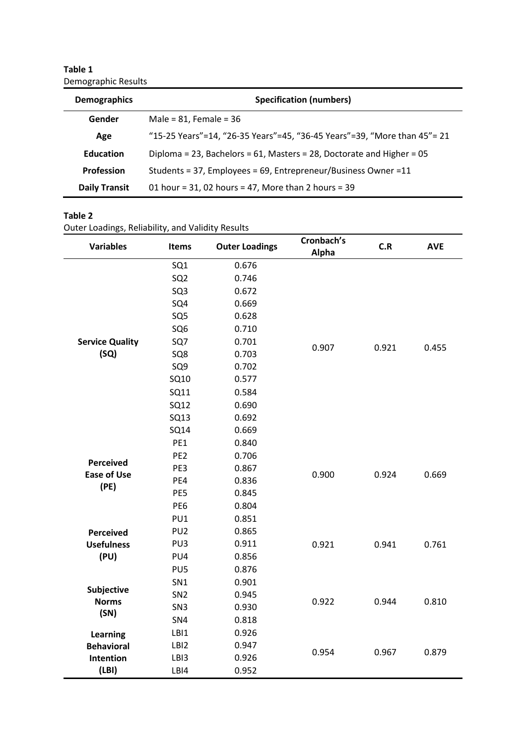**Table 1** Demographic Results

| <b>Demographics</b>  | <b>Specification (numbers)</b>                                           |  |  |  |
|----------------------|--------------------------------------------------------------------------|--|--|--|
| Gender               | Male = $81$ , Female = $36$                                              |  |  |  |
| Age                  | "15-25 Years"=14, "26-35 Years"=45, "36-45 Years"=39, "More than 45"= 21 |  |  |  |
| <b>Education</b>     | Diploma = 23, Bachelors = 61, Masters = 28, Doctorate and Higher = $05$  |  |  |  |
| <b>Profession</b>    | Students = 37, Employees = 69, Entrepreneur/Business Owner = 11          |  |  |  |
| <b>Daily Transit</b> | 01 hour = $31,02$ hours = $47$ , More than 2 hours = $39$                |  |  |  |

#### **Table 2**

Outer Loadings, Reliability, and Validity Results

| <b>Variables</b>           | Items           | <b>Outer Loadings</b> | Cronbach's<br>Alpha | C.R   | <b>AVE</b> |
|----------------------------|-----------------|-----------------------|---------------------|-------|------------|
|                            | SQ <sub>1</sub> | 0.676                 |                     |       |            |
|                            | SQ <sub>2</sub> | 0.746                 |                     |       |            |
|                            | SQ <sub>3</sub> | 0.672                 |                     |       |            |
|                            | SQ4             | 0.669                 |                     |       |            |
|                            | SQ <sub>5</sub> | 0.628                 |                     |       |            |
|                            | SQ <sub>6</sub> | 0.710                 |                     |       |            |
| <b>Service Quality</b>     | SQ7             | 0.701                 | 0.907               | 0.921 | 0.455      |
| (SQ)                       | SQ8             | 0.703                 |                     |       |            |
|                            | SQ <sub>9</sub> | 0.702                 |                     |       |            |
|                            | SQ10            | 0.577                 |                     |       |            |
|                            | SQ11            | 0.584                 |                     |       |            |
|                            | SQ12            | 0.690                 |                     |       |            |
|                            | <b>SQ13</b>     | 0.692                 |                     |       |            |
|                            | <b>SQ14</b>     | 0.669                 |                     |       |            |
|                            | PE1             | 0.840                 |                     |       |            |
| <b>Perceived</b>           | PE <sub>2</sub> | 0.706                 | 0.900               | 0.924 | 0.669      |
| <b>Ease of Use</b>         | PE3             | 0.867                 |                     |       |            |
| (PE)                       | PE4             | 0.836                 |                     |       |            |
|                            | PE5             | 0.845                 |                     |       |            |
|                            | PE <sub>6</sub> | 0.804                 |                     |       |            |
|                            | PU1             | 0.851                 |                     |       |            |
| <b>Perceived</b>           | PU <sub>2</sub> | 0.865                 |                     |       |            |
| <b>Usefulness</b>          | PU3             | 0.911                 | 0.921               | 0.941 | 0.761      |
| (PU)                       | PU4             | 0.856                 |                     |       |            |
|                            | PU <sub>5</sub> | 0.876                 |                     |       |            |
|                            | SN <sub>1</sub> | 0.901                 |                     |       |            |
| Subjective<br><b>Norms</b> | SN <sub>2</sub> | 0.945                 | 0.922               | 0.944 | 0.810      |
| (SN)                       | SN <sub>3</sub> | 0.930                 |                     |       |            |
|                            | SN4             | 0.818                 |                     |       |            |
| Learning                   | LBI1            | 0.926                 |                     |       |            |
| <b>Behavioral</b>          | LBI2            | 0.947                 | 0.954               | 0.967 | 0.879      |
| Intention                  | LBI3            | 0.926                 |                     |       |            |
| (LBI)                      | LBI4            | 0.952                 |                     |       |            |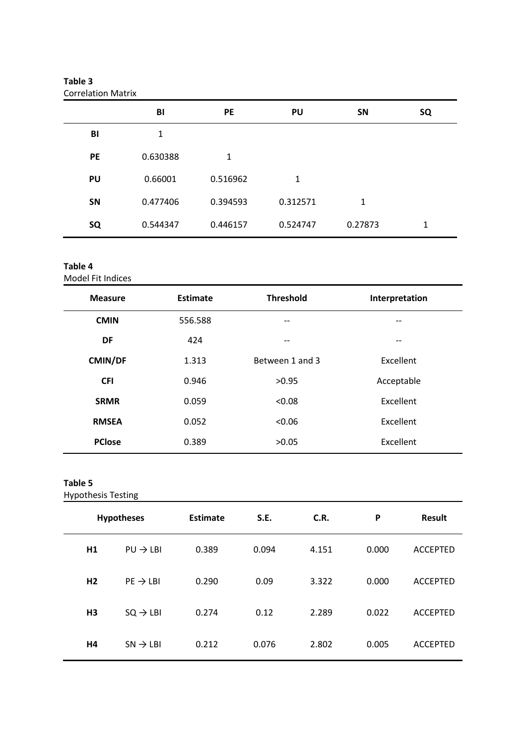| <b>Correlation Matrix</b> |          |           |              |         |    |
|---------------------------|----------|-----------|--------------|---------|----|
|                           | BI       | <b>PE</b> | PU           | SN      | SQ |
| BI                        | 1        |           |              |         |    |
| <b>PE</b>                 | 0.630388 | 1         |              |         |    |
| PU                        | 0.66001  | 0.516962  | $\mathbf{1}$ |         |    |
| <b>SN</b>                 | 0.477406 | 0.394593  | 0.312571     | 1       |    |
| SQ                        | 0.544347 | 0.446157  | 0.524747     | 0.27873 | 1  |

# **Table 3**

## **Table 4**

Model Fit Indices

| <b>Measure</b> | Estimate | <b>Threshold</b> | Interpretation |
|----------------|----------|------------------|----------------|
| <b>CMIN</b>    | 556.588  | --               | --             |
| DF             | 424      | --               | $- -$          |
| <b>CMIN/DF</b> | 1.313    | Between 1 and 3  | Excellent      |
| <b>CFI</b>     | 0.946    | >0.95            | Acceptable     |
| <b>SRMR</b>    | 0.059    | < 0.08           | Excellent      |
| <b>RMSEA</b>   | 0.052    | < 0.06           | Excellent      |
| <b>PClose</b>  | 0.389    | >0.05            | Excellent      |

### **Table 5**

Hypothesis Testing

| <b>Hypotheses</b> |                      | Estimate | S.E.  | C.R.  | P     | <b>Result</b>   |
|-------------------|----------------------|----------|-------|-------|-------|-----------------|
| H1                | $PU \rightarrow LBI$ | 0.389    | 0.094 | 4.151 | 0.000 | <b>ACCEPTED</b> |
| H <sub>2</sub>    | $PE \rightarrow LBI$ | 0.290    | 0.09  | 3.322 | 0.000 | <b>ACCEPTED</b> |
| H3                | $SQ \rightarrow LBI$ | 0.274    | 0.12  | 2.289 | 0.022 | <b>ACCEPTED</b> |
| H4                | $SN \rightarrow LBI$ | 0.212    | 0.076 | 2.802 | 0.005 | <b>ACCEPTED</b> |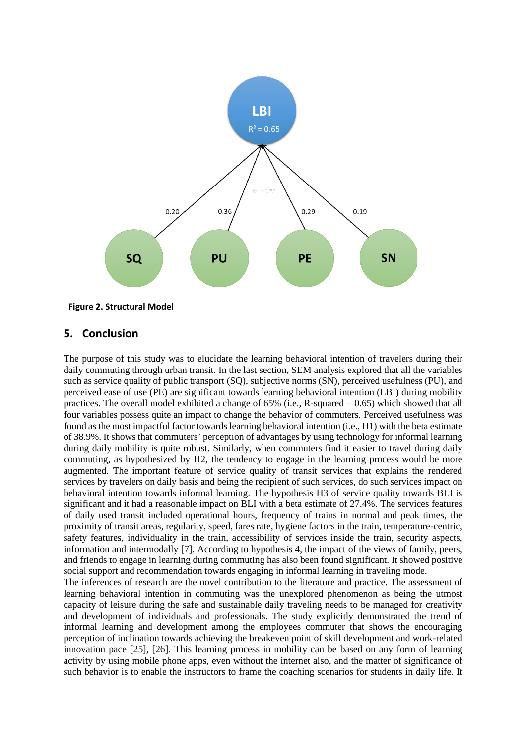

# **5. Conclusion**

The purpose of this study was to elucidate the learning behavioral intention of travelers during their daily commuting through urban transit. In the last section, SEM analysis explored that all the variables such as service quality of public transport (SQ), subjective norms (SN), perceived usefulness (PU), and perceived ease of use (PE) are significant towards learning behavioral intention (LBI) during mobility practices. The overall model exhibited a change of  $65\%$  (i.e., R-squared  $= 0.65$ ) which showed that all four variables possess quite an impact to change the behavior of commuters. Perceived usefulness was found as the most impactful factor towards learning behavioral intention (i.e., H1) with the beta estimate of 38.9%. It shows that commuters' perception of advantages by using technology for informal learning during daily mobility is quite robust. Similarly, when commuters find it easier to travel during daily commuting, as hypothesized by H2, the tendency to engage in the learning process would be more augmented. The important feature of service quality of transit services that explains the rendered services by travelers on daily basis and being the recipient of such services, do such services impact on behavioral intention towards informal learning. The hypothesis H3 of service quality towards BLI is significant and it had a reasonable impact on BLI with a beta estimate of 27.4%. The services features of daily used transit included operational hours, frequency of trains in normal and peak times, the proximity of transit areas, regularity, speed, fares rate, hygiene factors in the train, temperature-centric, safety features, individuality in the train, accessibility of services inside the train, security aspects, information and intermodally [7]. According to hypothesis 4, the impact of the views of family, peers, and friends to engage in learning during commuting has also been found significant. It showed positive social support and recommendation towards engaging in informal learning in traveling mode.

The inferences of research are the novel contribution to the literature and practice. The assessment of learning behavioral intention in commuting was the unexplored phenomenon as being the utmost capacity of leisure during the safe and sustainable daily traveling needs to be managed for creativity and development of individuals and professionals. The study explicitly demonstrated the trend of informal learning and development among the employees commuter that shows the encouraging perception of inclination towards achieving the breakeven point of skill development and work-related innovation pace [25], [26]. This learning process in mobility can be based on any form of learning activity by using mobile phone apps, even without the internet also, and the matter of significance of such behavior is to enable the instructors to frame the coaching scenarios for students in daily life. It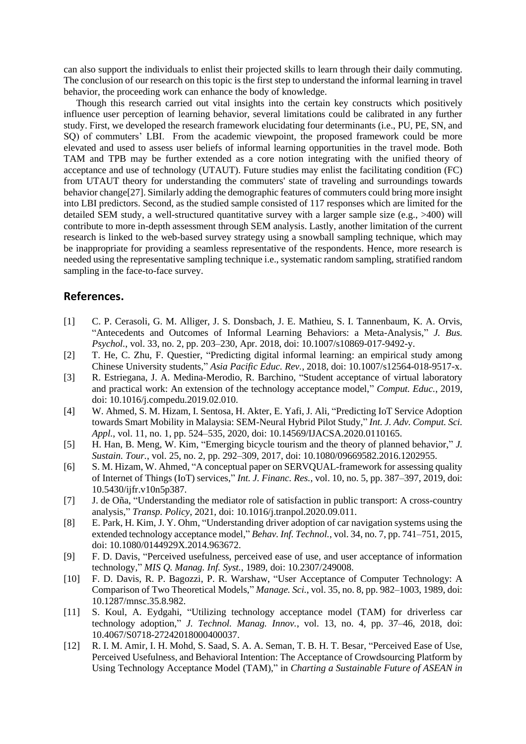can also support the individuals to enlist their projected skills to learn through their daily commuting. The conclusion of our research on this topic is the first step to understand the informal learning in travel behavior, the proceeding work can enhance the body of knowledge.

Though this research carried out vital insights into the certain key constructs which positively influence user perception of learning behavior, several limitations could be calibrated in any further study. First, we developed the research framework elucidating four determinants (i.e., PU, PE, SN, and SQ) of commuters' LBI. From the academic viewpoint, the proposed framework could be more elevated and used to assess user beliefs of informal learning opportunities in the travel mode. Both TAM and TPB may be further extended as a core notion integrating with the unified theory of acceptance and use of technology (UTAUT). Future studies may enlist the facilitating condition (FC) from UTAUT theory for understanding the commuters' state of traveling and surroundings towards behavior change[27]. Similarly adding the demographic features of commuters could bring more insight into LBI predictors. Second, as the studied sample consisted of 117 responses which are limited for the detailed SEM study, a well-structured quantitative survey with a larger sample size (e.g., >400) will contribute to more in-depth assessment through SEM analysis. Lastly, another limitation of the current research is linked to the web-based survey strategy using a snowball sampling technique, which may be inappropriate for providing a seamless representative of the respondents. Hence, more research is needed using the representative sampling technique i.e., systematic random sampling, stratified random sampling in the face-to-face survey.

#### **References.**

- [1] C. P. Cerasoli, G. M. Alliger, J. S. Donsbach, J. E. Mathieu, S. I. Tannenbaum, K. A. Orvis, "Antecedents and Outcomes of Informal Learning Behaviors: a Meta-Analysis," *J. Bus. Psychol.*, vol. 33, no. 2, pp. 203–230, Apr. 2018, doi: 10.1007/s10869-017-9492-y.
- [2] T. He, C. Zhu, F. Questier, "Predicting digital informal learning: an empirical study among Chinese University students," *Asia Pacific Educ. Rev.*, 2018, doi: 10.1007/s12564-018-9517-x.
- [3] R. Estriegana, J. A. Medina-Merodio, R. Barchino, "Student acceptance of virtual laboratory and practical work: An extension of the technology acceptance model," *Comput. Educ.*, 2019, doi: 10.1016/j.compedu.2019.02.010.
- [4] W. Ahmed, S. M. Hizam, I. Sentosa, H. Akter, E. Yafi, J. Ali, "Predicting IoT Service Adoption towards Smart Mobility in Malaysia: SEM-Neural Hybrid Pilot Study," *Int. J. Adv. Comput. Sci. Appl.*, vol. 11, no. 1, pp. 524–535, 2020, doi: 10.14569/IJACSA.2020.0110165.
- [5] H. Han, B. Meng, W. Kim, "Emerging bicycle tourism and the theory of planned behavior," *J. Sustain. Tour.*, vol. 25, no. 2, pp. 292–309, 2017, doi: 10.1080/09669582.2016.1202955.
- [6] S. M. Hizam, W. Ahmed, "A conceptual paper on SERVQUAL-framework for assessing quality of Internet of Things (IoT) services," *Int. J. Financ. Res.*, vol. 10, no. 5, pp. 387–397, 2019, doi: 10.5430/ijfr.v10n5p387.
- [7] J. de Oña, "Understanding the mediator role of satisfaction in public transport: A cross-country analysis," *Transp. Policy*, 2021, doi: 10.1016/j.tranpol.2020.09.011.
- [8] E. Park, H. Kim, J. Y. Ohm, "Understanding driver adoption of car navigation systems using the extended technology acceptance model," *Behav. Inf. Technol.*, vol. 34, no. 7, pp. 741–751, 2015, doi: 10.1080/0144929X.2014.963672.
- [9] F. D. Davis, "Perceived usefulness, perceived ease of use, and user acceptance of information technology," *MIS Q. Manag. Inf. Syst.*, 1989, doi: 10.2307/249008.
- [10] F. D. Davis, R. P. Bagozzi, P. R. Warshaw, "User Acceptance of Computer Technology: A Comparison of Two Theoretical Models," *Manage. Sci.*, vol. 35, no. 8, pp. 982–1003, 1989, doi: 10.1287/mnsc.35.8.982.
- [11] S. Koul, A. Eydgahi, "Utilizing technology acceptance model (TAM) for driverless car technology adoption," *J. Technol. Manag. Innov.*, vol. 13, no. 4, pp. 37–46, 2018, doi: 10.4067/S0718-27242018000400037.
- [12] R. I. M. Amir, I. H. Mohd, S. Saad, S. A. A. Seman, T. B. H. T. Besar, "Perceived Ease of Use, Perceived Usefulness, and Behavioral Intention: The Acceptance of Crowdsourcing Platform by Using Technology Acceptance Model (TAM)," in *Charting a Sustainable Future of ASEAN in*